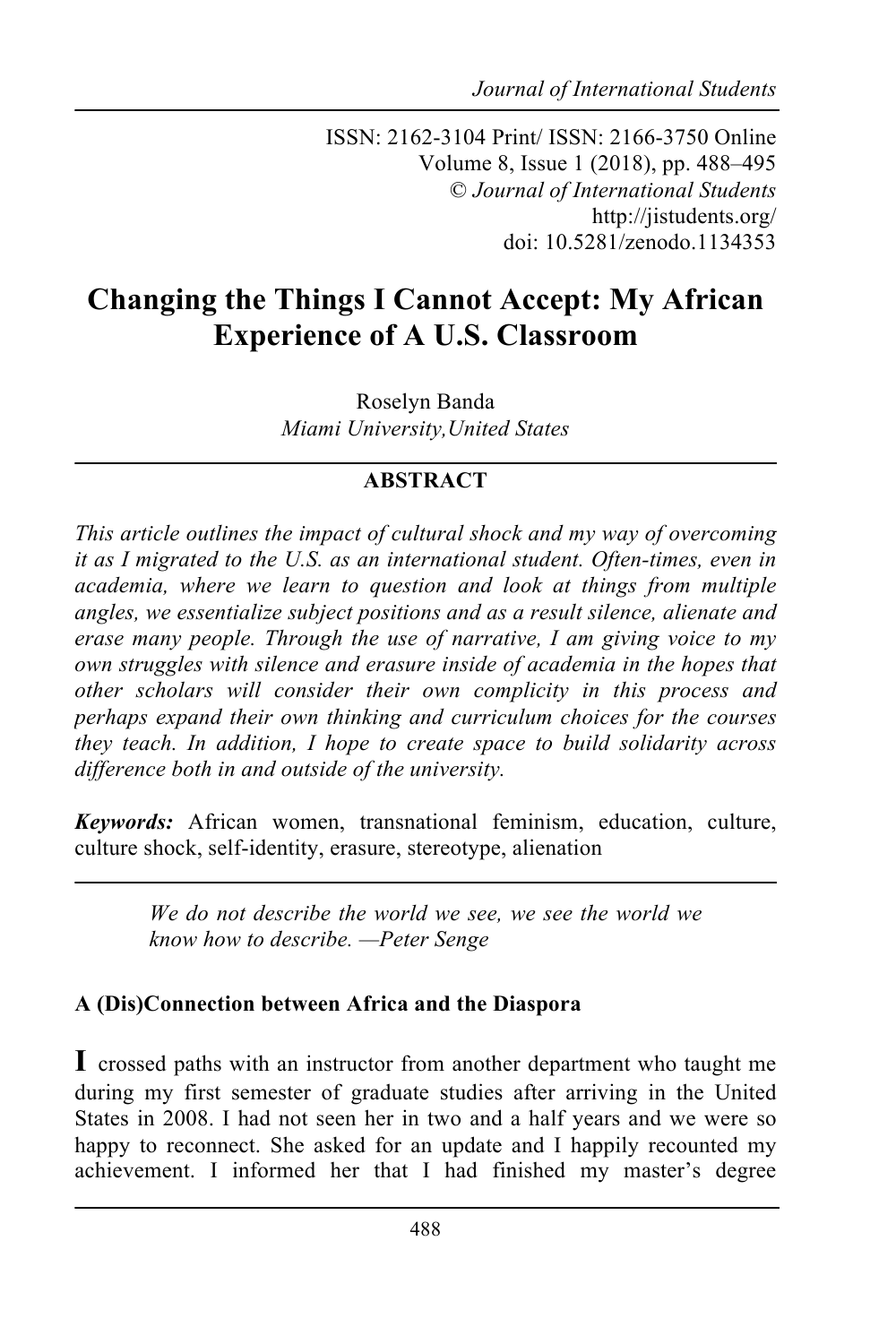ISSN: 2162-3104 Print/ ISSN: 2166-3750 Online Volume 8, Issue 1 (2018), pp. 488–495 © *Journal of International Students* http://jistudents.org/ doi: 10.5281/zenodo.1134353

# **Changing the Things I Cannot Accept: My African Experience of A U.S. Classroom**

Roselyn Banda *Miami University,United States*

## **ABSTRACT**

*This article outlines the impact of cultural shock and my way of overcoming it as I migrated to the U.S. as an international student. Often-times, even in academia, where we learn to question and look at things from multiple angles, we essentialize subject positions and as a result silence, alienate and erase many people. Through the use of narrative, I am giving voice to my own struggles with silence and erasure inside of academia in the hopes that other scholars will consider their own complicity in this process and perhaps expand their own thinking and curriculum choices for the courses they teach. In addition, I hope to create space to build solidarity across difference both in and outside of the university.* 

*Keywords:* African women, transnational feminism, education, culture, culture shock, self-identity, erasure, stereotype, alienation

> *We do not describe the world we see, we see the world we know how to describe. —Peter Senge*

#### **A (Dis)Connection between Africa and the Diaspora**

**I** crossed paths with an instructor from another department who taught me during my first semester of graduate studies after arriving in the United States in 2008. I had not seen her in two and a half years and we were so happy to reconnect. She asked for an update and I happily recounted my achievement. I informed her that I had finished my master's degree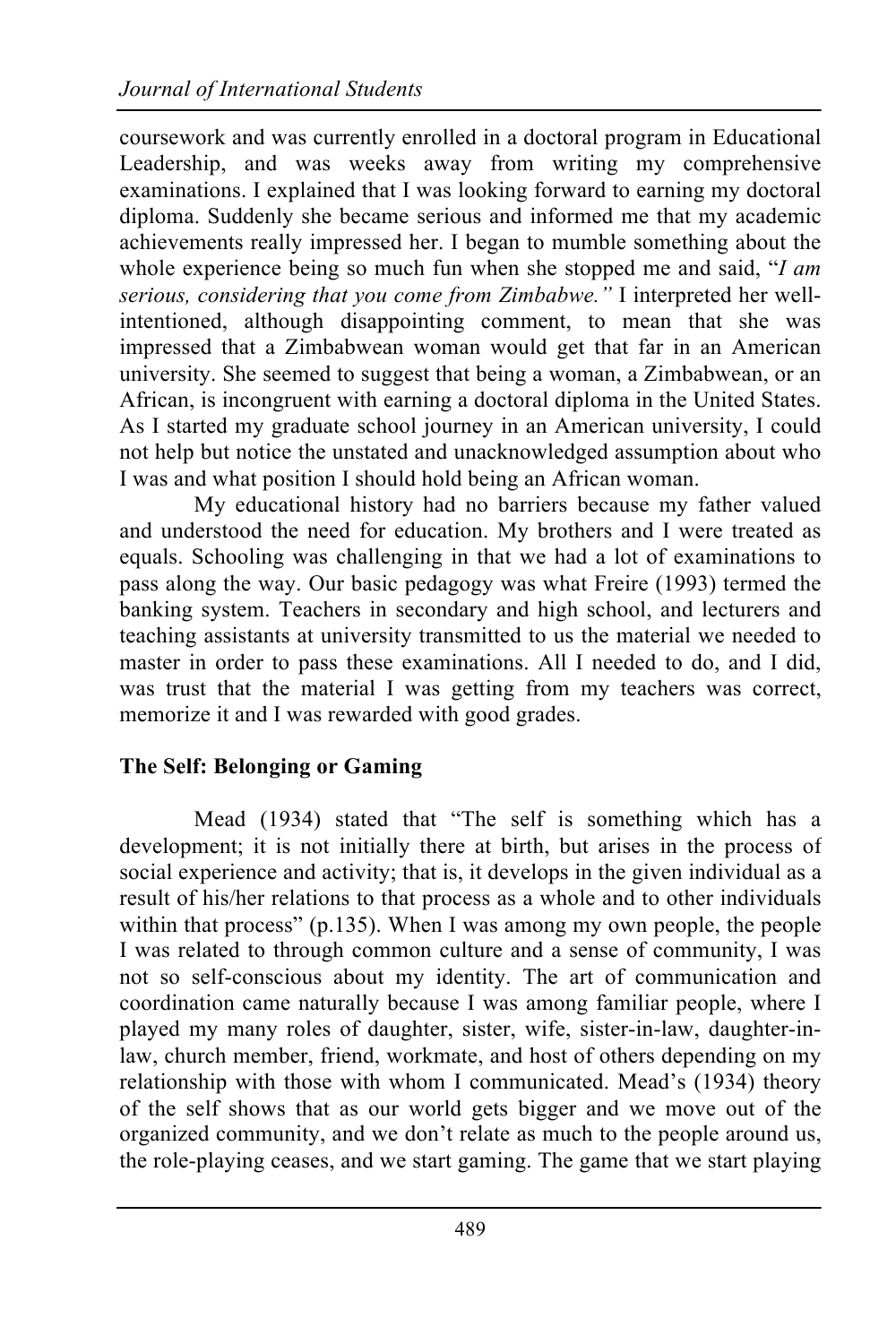coursework and was currently enrolled in a doctoral program in Educational Leadership, and was weeks away from writing my comprehensive examinations. I explained that I was looking forward to earning my doctoral diploma. Suddenly she became serious and informed me that my academic achievements really impressed her. I began to mumble something about the whole experience being so much fun when she stopped me and said, "*I am serious, considering that you come from Zimbabwe."* I interpreted her wellintentioned, although disappointing comment, to mean that she was impressed that a Zimbabwean woman would get that far in an American university. She seemed to suggest that being a woman, a Zimbabwean, or an African, is incongruent with earning a doctoral diploma in the United States. As I started my graduate school journey in an American university, I could not help but notice the unstated and unacknowledged assumption about who I was and what position I should hold being an African woman.

My educational history had no barriers because my father valued and understood the need for education. My brothers and I were treated as equals. Schooling was challenging in that we had a lot of examinations to pass along the way. Our basic pedagogy was what Freire (1993) termed the banking system. Teachers in secondary and high school, and lecturers and teaching assistants at university transmitted to us the material we needed to master in order to pass these examinations. All I needed to do, and I did, was trust that the material I was getting from my teachers was correct, memorize it and I was rewarded with good grades.

### **The Self: Belonging or Gaming**

Mead (1934) stated that "The self is something which has a development; it is not initially there at birth, but arises in the process of social experience and activity; that is, it develops in the given individual as a result of his/her relations to that process as a whole and to other individuals within that process" (p.135). When I was among my own people, the people I was related to through common culture and a sense of community, I was not so self-conscious about my identity. The art of communication and coordination came naturally because I was among familiar people, where I played my many roles of daughter, sister, wife, sister-in-law, daughter-inlaw, church member, friend, workmate, and host of others depending on my relationship with those with whom I communicated. Mead's (1934) theory of the self shows that as our world gets bigger and we move out of the organized community, and we don't relate as much to the people around us, the role-playing ceases, and we start gaming. The game that we start playing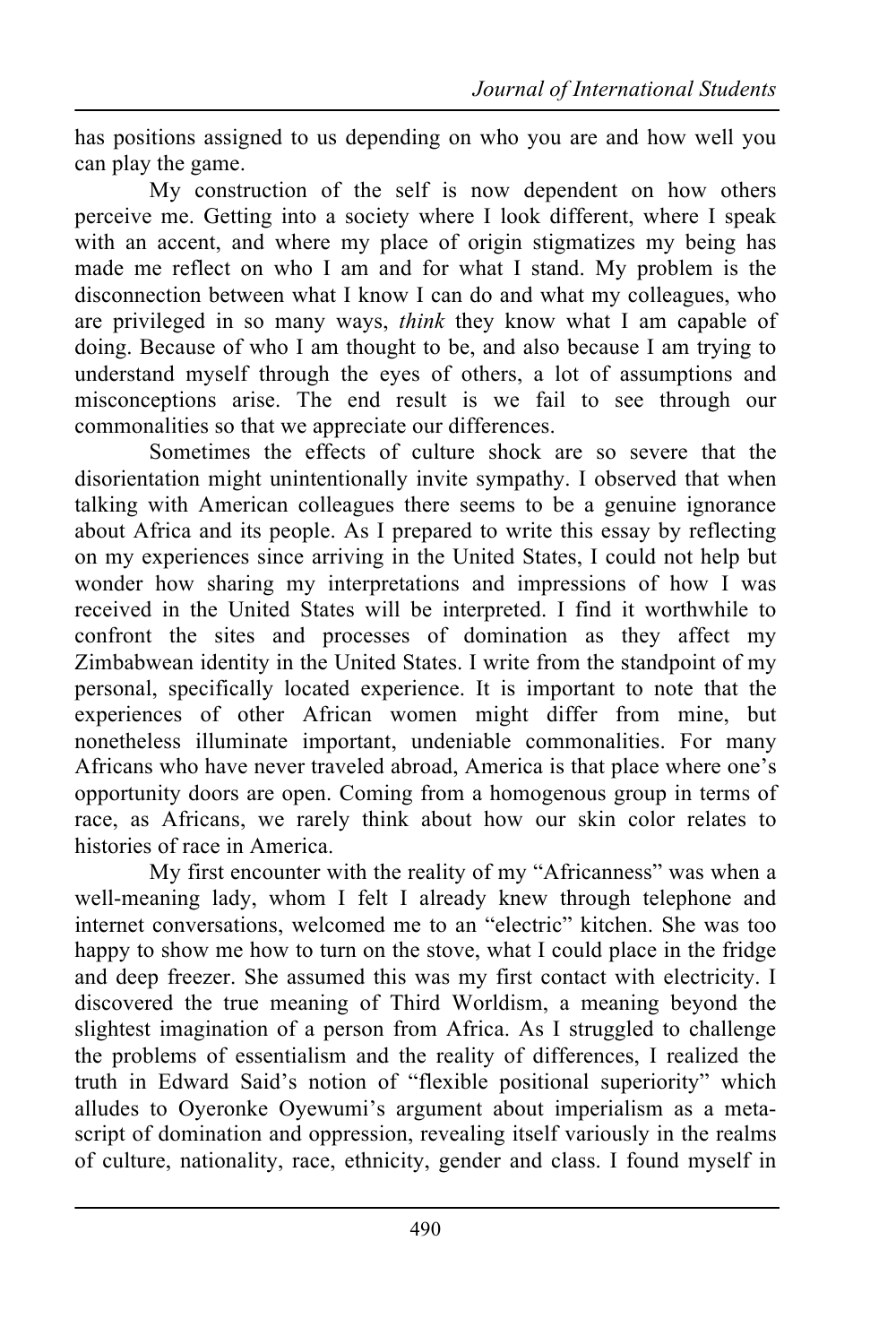has positions assigned to us depending on who you are and how well you can play the game.

My construction of the self is now dependent on how others perceive me. Getting into a society where I look different, where I speak with an accent, and where my place of origin stigmatizes my being has made me reflect on who I am and for what I stand. My problem is the disconnection between what I know I can do and what my colleagues, who are privileged in so many ways, *think* they know what I am capable of doing. Because of who I am thought to be, and also because I am trying to understand myself through the eyes of others, a lot of assumptions and misconceptions arise. The end result is we fail to see through our commonalities so that we appreciate our differences.

Sometimes the effects of culture shock are so severe that the disorientation might unintentionally invite sympathy. I observed that when talking with American colleagues there seems to be a genuine ignorance about Africa and its people. As I prepared to write this essay by reflecting on my experiences since arriving in the United States, I could not help but wonder how sharing my interpretations and impressions of how I was received in the United States will be interpreted. I find it worthwhile to confront the sites and processes of domination as they affect my Zimbabwean identity in the United States. I write from the standpoint of my personal, specifically located experience. It is important to note that the experiences of other African women might differ from mine, but nonetheless illuminate important, undeniable commonalities. For many Africans who have never traveled abroad, America is that place where one's opportunity doors are open. Coming from a homogenous group in terms of race, as Africans, we rarely think about how our skin color relates to histories of race in America.

My first encounter with the reality of my "Africanness" was when a well-meaning lady, whom I felt I already knew through telephone and internet conversations, welcomed me to an "electric" kitchen. She was too happy to show me how to turn on the stove, what I could place in the fridge and deep freezer. She assumed this was my first contact with electricity. I discovered the true meaning of Third Worldism, a meaning beyond the slightest imagination of a person from Africa. As I struggled to challenge the problems of essentialism and the reality of differences, I realized the truth in Edward Said's notion of "flexible positional superiority" which alludes to Oyeronke Oyewumi's argument about imperialism as a metascript of domination and oppression, revealing itself variously in the realms of culture, nationality, race, ethnicity, gender and class. I found myself in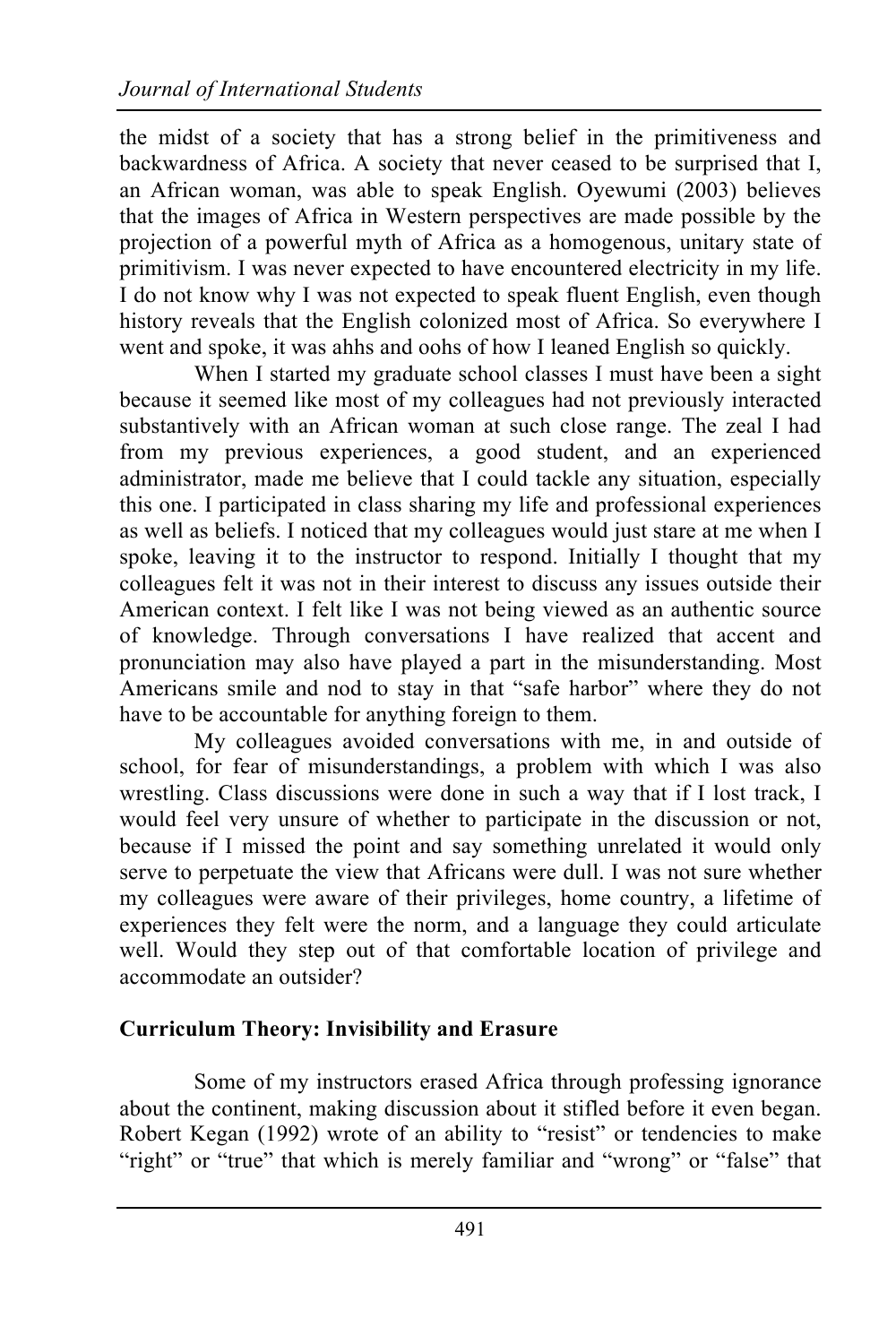the midst of a society that has a strong belief in the primitiveness and backwardness of Africa. A society that never ceased to be surprised that I, an African woman, was able to speak English. Oyewumi (2003) believes that the images of Africa in Western perspectives are made possible by the projection of a powerful myth of Africa as a homogenous, unitary state of primitivism. I was never expected to have encountered electricity in my life. I do not know why I was not expected to speak fluent English, even though history reveals that the English colonized most of Africa. So everywhere I went and spoke, it was ahhs and oohs of how I leaned English so quickly.

When I started my graduate school classes I must have been a sight because it seemed like most of my colleagues had not previously interacted substantively with an African woman at such close range. The zeal I had from my previous experiences, a good student, and an experienced administrator, made me believe that I could tackle any situation, especially this one. I participated in class sharing my life and professional experiences as well as beliefs. I noticed that my colleagues would just stare at me when I spoke, leaving it to the instructor to respond. Initially I thought that my colleagues felt it was not in their interest to discuss any issues outside their American context. I felt like I was not being viewed as an authentic source of knowledge. Through conversations I have realized that accent and pronunciation may also have played a part in the misunderstanding. Most Americans smile and nod to stay in that "safe harbor" where they do not have to be accountable for anything foreign to them.

My colleagues avoided conversations with me, in and outside of school, for fear of misunderstandings, a problem with which I was also wrestling. Class discussions were done in such a way that if I lost track, I would feel very unsure of whether to participate in the discussion or not, because if I missed the point and say something unrelated it would only serve to perpetuate the view that Africans were dull. I was not sure whether my colleagues were aware of their privileges, home country, a lifetime of experiences they felt were the norm, and a language they could articulate well. Would they step out of that comfortable location of privilege and accommodate an outsider?

### **Curriculum Theory: Invisibility and Erasure**

Some of my instructors erased Africa through professing ignorance about the continent, making discussion about it stifled before it even began. Robert Kegan (1992) wrote of an ability to "resist" or tendencies to make "right" or "true" that which is merely familiar and "wrong" or "false" that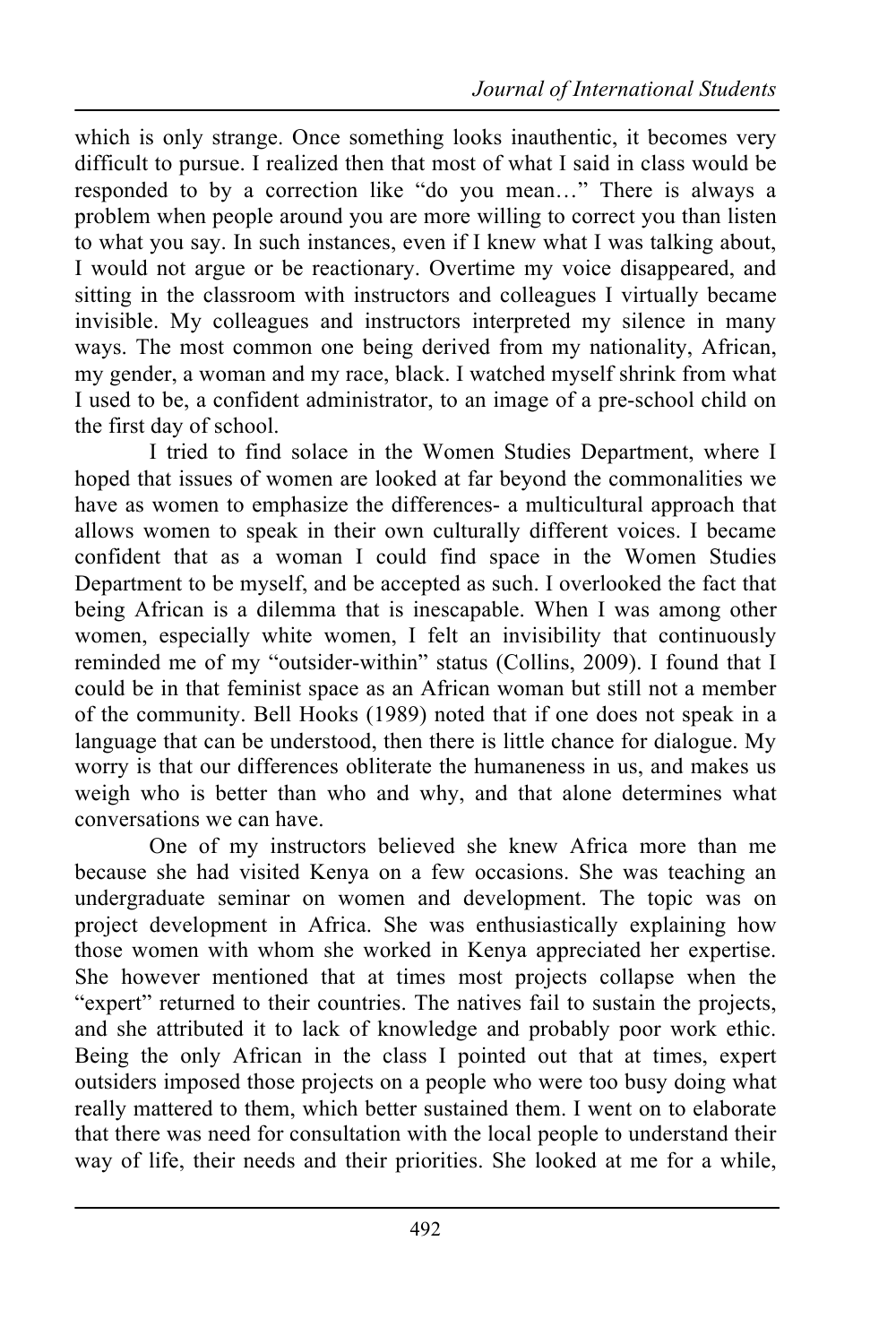which is only strange. Once something looks inauthentic, it becomes very difficult to pursue. I realized then that most of what I said in class would be responded to by a correction like "do you mean…" There is always a problem when people around you are more willing to correct you than listen to what you say. In such instances, even if I knew what I was talking about, I would not argue or be reactionary. Overtime my voice disappeared, and sitting in the classroom with instructors and colleagues I virtually became invisible. My colleagues and instructors interpreted my silence in many ways. The most common one being derived from my nationality, African, my gender, a woman and my race, black. I watched myself shrink from what I used to be, a confident administrator, to an image of a pre-school child on the first day of school.

I tried to find solace in the Women Studies Department, where I hoped that issues of women are looked at far beyond the commonalities we have as women to emphasize the differences- a multicultural approach that allows women to speak in their own culturally different voices. I became confident that as a woman I could find space in the Women Studies Department to be myself, and be accepted as such. I overlooked the fact that being African is a dilemma that is inescapable. When I was among other women, especially white women, I felt an invisibility that continuously reminded me of my "outsider-within" status (Collins, 2009). I found that I could be in that feminist space as an African woman but still not a member of the community. Bell Hooks (1989) noted that if one does not speak in a language that can be understood, then there is little chance for dialogue. My worry is that our differences obliterate the humaneness in us, and makes us weigh who is better than who and why, and that alone determines what conversations we can have.

One of my instructors believed she knew Africa more than me because she had visited Kenya on a few occasions. She was teaching an undergraduate seminar on women and development. The topic was on project development in Africa. She was enthusiastically explaining how those women with whom she worked in Kenya appreciated her expertise. She however mentioned that at times most projects collapse when the "expert" returned to their countries. The natives fail to sustain the projects, and she attributed it to lack of knowledge and probably poor work ethic. Being the only African in the class I pointed out that at times, expert outsiders imposed those projects on a people who were too busy doing what really mattered to them, which better sustained them. I went on to elaborate that there was need for consultation with the local people to understand their way of life, their needs and their priorities. She looked at me for a while,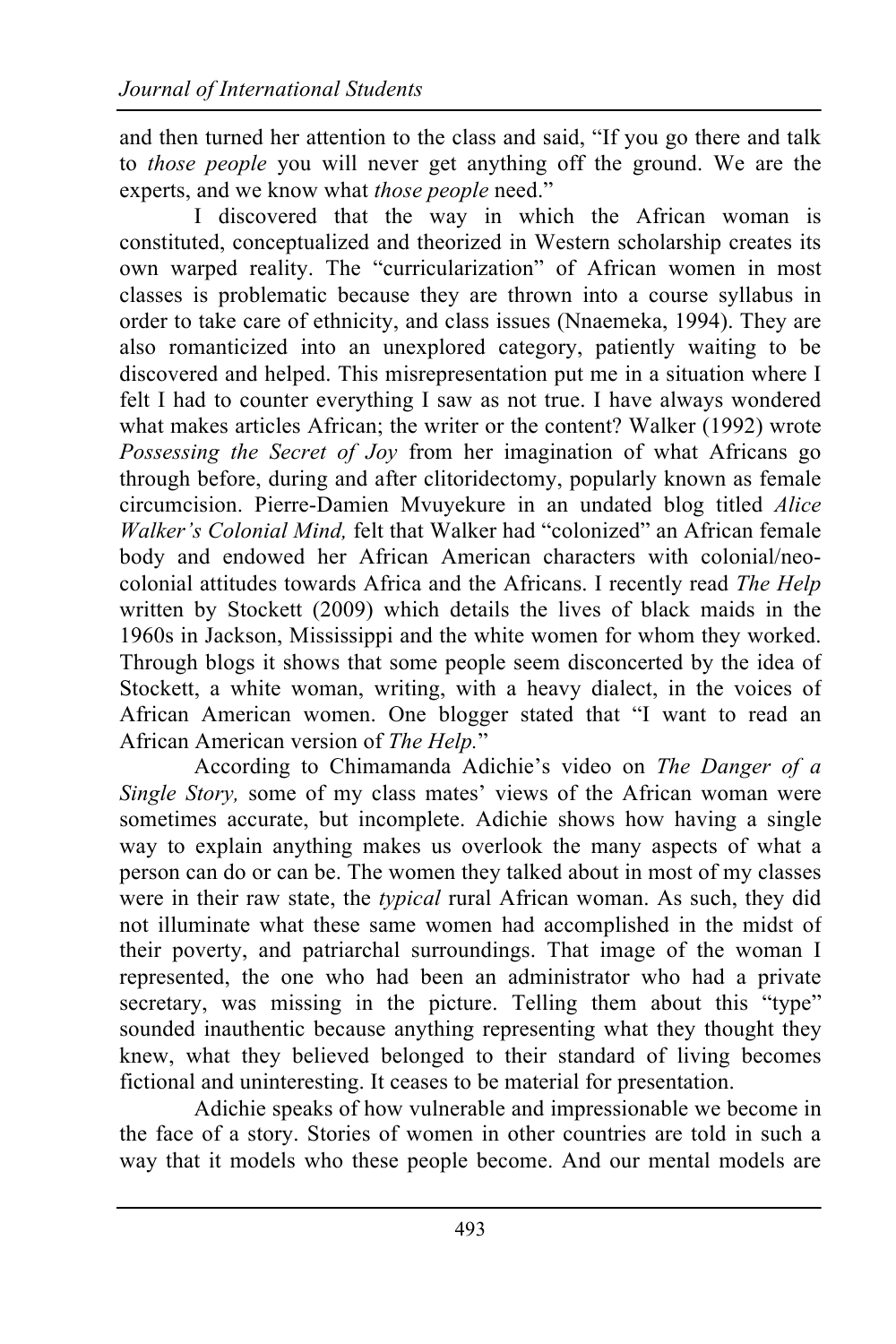and then turned her attention to the class and said, "If you go there and talk to *those people* you will never get anything off the ground. We are the experts, and we know what *those people* need."

I discovered that the way in which the African woman is constituted, conceptualized and theorized in Western scholarship creates its own warped reality. The "curricularization" of African women in most classes is problematic because they are thrown into a course syllabus in order to take care of ethnicity, and class issues (Nnaemeka, 1994). They are also romanticized into an unexplored category, patiently waiting to be discovered and helped. This misrepresentation put me in a situation where I felt I had to counter everything I saw as not true. I have always wondered what makes articles African; the writer or the content? Walker (1992) wrote *Possessing the Secret of Joy* from her imagination of what Africans go through before, during and after clitoridectomy, popularly known as female circumcision. Pierre-Damien Mvuyekure in an undated blog titled *Alice Walker's Colonial Mind,* felt that Walker had "colonized" an African female body and endowed her African American characters with colonial/neocolonial attitudes towards Africa and the Africans. I recently read *The Help* written by Stockett (2009) which details the lives of black maids in the 1960s in Jackson, Mississippi and the white women for whom they worked. Through blogs it shows that some people seem disconcerted by the idea of Stockett, a white woman, writing, with a heavy dialect, in the voices of African American women. One blogger stated that "I want to read an African American version of *The Help.*"

According to Chimamanda Adichie's video on *The Danger of a Single Story,* some of my class mates' views of the African woman were sometimes accurate, but incomplete. Adichie shows how having a single way to explain anything makes us overlook the many aspects of what a person can do or can be. The women they talked about in most of my classes were in their raw state, the *typical* rural African woman. As such, they did not illuminate what these same women had accomplished in the midst of their poverty, and patriarchal surroundings. That image of the woman I represented, the one who had been an administrator who had a private secretary, was missing in the picture. Telling them about this "type" sounded inauthentic because anything representing what they thought they knew, what they believed belonged to their standard of living becomes fictional and uninteresting. It ceases to be material for presentation.

Adichie speaks of how vulnerable and impressionable we become in the face of a story. Stories of women in other countries are told in such a way that it models who these people become. And our mental models are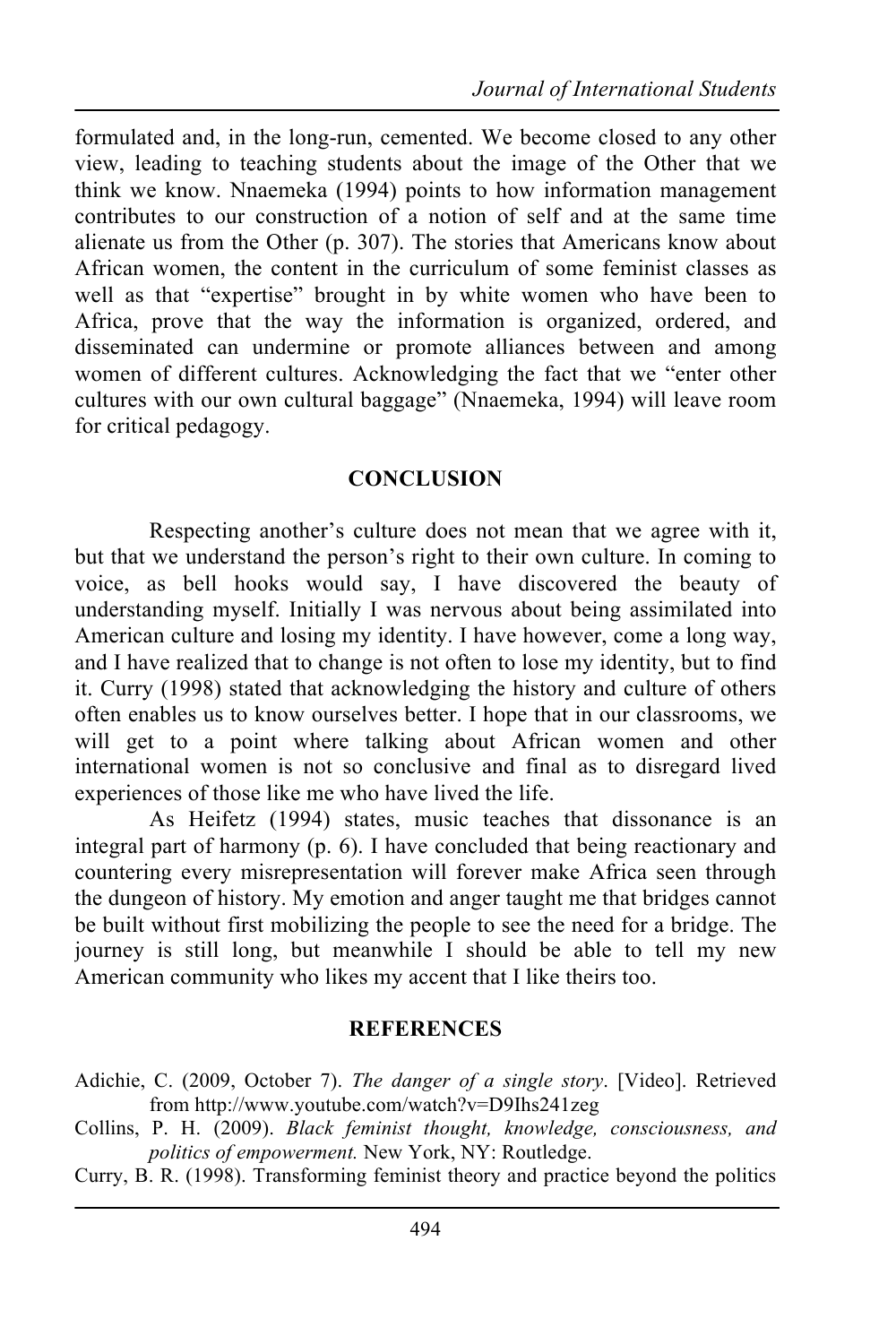formulated and, in the long-run, cemented. We become closed to any other view, leading to teaching students about the image of the Other that we think we know. Nnaemeka (1994) points to how information management contributes to our construction of a notion of self and at the same time alienate us from the Other (p. 307). The stories that Americans know about African women, the content in the curriculum of some feminist classes as well as that "expertise" brought in by white women who have been to Africa, prove that the way the information is organized, ordered, and disseminated can undermine or promote alliances between and among women of different cultures. Acknowledging the fact that we "enter other cultures with our own cultural baggage" (Nnaemeka, 1994) will leave room for critical pedagogy.

#### **CONCLUSION**

Respecting another's culture does not mean that we agree with it, but that we understand the person's right to their own culture. In coming to voice, as bell hooks would say, I have discovered the beauty of understanding myself. Initially I was nervous about being assimilated into American culture and losing my identity. I have however, come a long way, and I have realized that to change is not often to lose my identity, but to find it. Curry (1998) stated that acknowledging the history and culture of others often enables us to know ourselves better. I hope that in our classrooms, we will get to a point where talking about African women and other international women is not so conclusive and final as to disregard lived experiences of those like me who have lived the life.

As Heifetz (1994) states, music teaches that dissonance is an integral part of harmony (p. 6). I have concluded that being reactionary and countering every misrepresentation will forever make Africa seen through the dungeon of history. My emotion and anger taught me that bridges cannot be built without first mobilizing the people to see the need for a bridge. The journey is still long, but meanwhile I should be able to tell my new American community who likes my accent that I like theirs too.

#### **REFERENCES**

- Adichie, C. (2009, October 7). *The danger of a single story*. [Video]. Retrieved from http://www.youtube.com/watch?v=D9Ihs241zeg
- Collins, P. H. (2009). *Black feminist thought, knowledge, consciousness, and politics of empowerment.* New York, NY: Routledge.
- Curry, B. R. (1998). Transforming feminist theory and practice beyond the politics